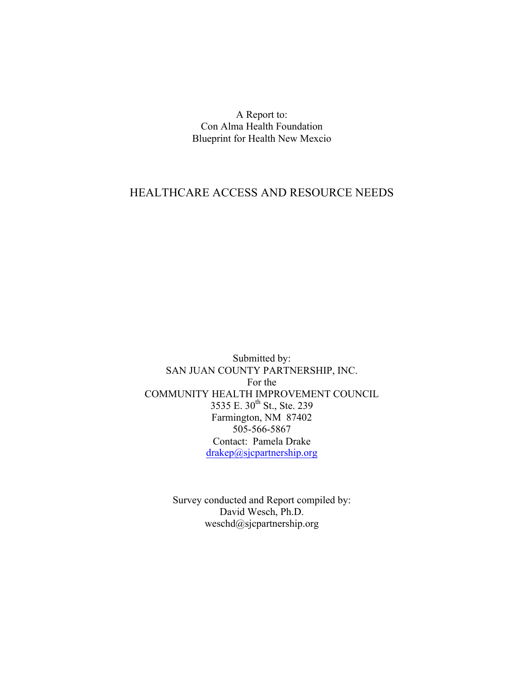A Report to: Con Alma Health Foundation Blueprint for Health New Mexcio

# HEALTHCARE ACCESS AND RESOURCE NEEDS

Submitted by: SAN JUAN COUNTY PARTNERSHIP, INC. For the COMMUNITY HEALTH IMPROVEMENT COUNCIL 3535 E. 30<sup>th</sup> St., Ste. 239 Farmington, NM 87402 505-566-5867 Contact: Pamela Drake drakep@sjcpartnership.org

> Survey conducted and Report compiled by: David Wesch, Ph.D. weschd@sjcpartnership.org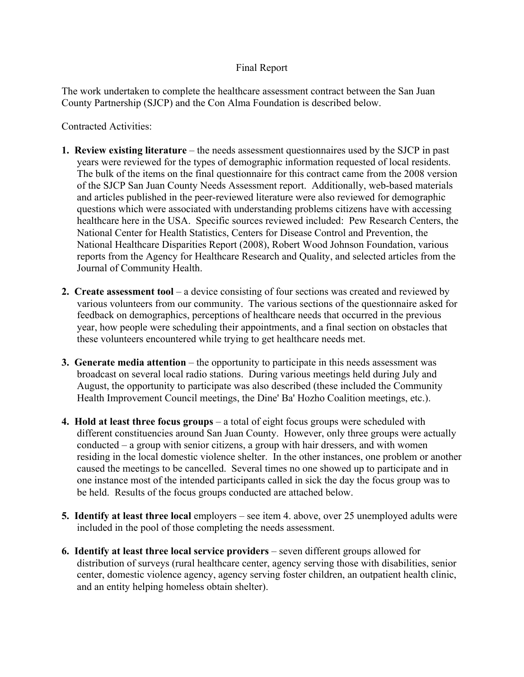# Final Report

The work undertaken to complete the healthcare assessment contract between the San Juan County Partnership (SJCP) and the Con Alma Foundation is described below.

Contracted Activities:

- **1. Review existing literature** the needs assessment questionnaires used by the SJCP in past years were reviewed for the types of demographic information requested of local residents. The bulk of the items on the final questionnaire for this contract came from the 2008 version of the SJCP San Juan County Needs Assessment report. Additionally, web-based materials and articles published in the peer-reviewed literature were also reviewed for demographic questions which were associated with understanding problems citizens have with accessing healthcare here in the USA. Specific sources reviewed included: Pew Research Centers, the National Center for Health Statistics, Centers for Disease Control and Prevention, the National Healthcare Disparities Report (2008), Robert Wood Johnson Foundation, various reports from the Agency for Healthcare Research and Quality, and selected articles from the Journal of Community Health.
- **2. Create assessment tool** a device consisting of four sections was created and reviewed by various volunteers from our community. The various sections of the questionnaire asked for feedback on demographics, perceptions of healthcare needs that occurred in the previous year, how people were scheduling their appointments, and a final section on obstacles that these volunteers encountered while trying to get healthcare needs met.
- **3. Generate media attention** the opportunity to participate in this needs assessment was broadcast on several local radio stations. During various meetings held during July and August, the opportunity to participate was also described (these included the Community Health Improvement Council meetings, the Dine' Ba' Hozho Coalition meetings, etc.).
- **4. Hold at least three focus groups** a total of eight focus groups were scheduled with different constituencies around San Juan County. However, only three groups were actually conducted – a group with senior citizens, a group with hair dressers, and with women residing in the local domestic violence shelter. In the other instances, one problem or another caused the meetings to be cancelled. Several times no one showed up to participate and in one instance most of the intended participants called in sick the day the focus group was to be held. Results of the focus groups conducted are attached below.
- **5. Identify at least three local** employers see item 4. above, over 25 unemployed adults were included in the pool of those completing the needs assessment.
- **6. Identify at least three local service providers** seven different groups allowed for distribution of surveys (rural healthcare center, agency serving those with disabilities, senior center, domestic violence agency, agency serving foster children, an outpatient health clinic, and an entity helping homeless obtain shelter).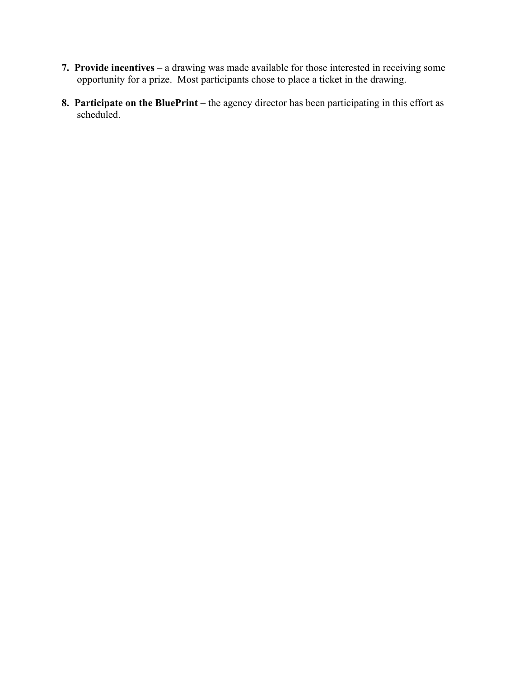- **7. Provide incentives** a drawing was made available for those interested in receiving some opportunity for a prize. Most participants chose to place a ticket in the drawing.
- **8. Participate on the BluePrint** the agency director has been participating in this effort as scheduled.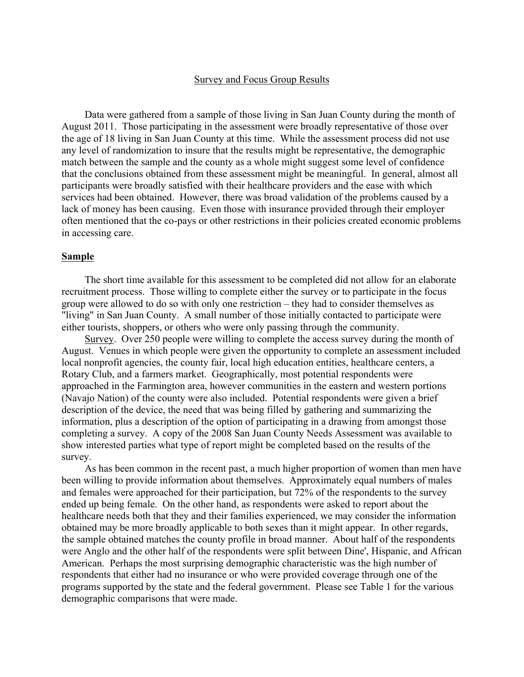## Survey and Focus Group Results

Data were gathered from a sample of those living in San Juan County during the month of August 2011. Those participating in the assessment were broadly representative of those over the age of 18 living in San Juan County at this time. While the assessment process did not use any level of randomization to insure that the results might be representative, the demographic match between the sample and the county as a whole might suggest some level of confidence that the conclusions obtained from these assessment might be meaningful. In general, almost all participants were broadly satisfied with their healthcare providers and the ease with which services had been obtained. However, there was broad validation of the problems caused by a lack of money has been causing. Even those with insurance provided through their employer often mentioned that the co-pays or other restrictions in their policies created economic problems in accessing care.

### **Sample**

The short time available for this assessment to be completed did not allow for an elaborate recruitment process. Those willing to complete either the survey or to participate in the focus group were allowed to do so with only one restriction – they had to consider themselves as "living" in San Juan County. A small number of those initially contacted to participate were either tourists, shoppers, or others who were only passing through the community.

Survey. Over 250 people were willing to complete the access survey during the month of August. Venues in which people were given the opportunity to complete an assessment included local nonprofit agencies, the county fair, local high education entities, healthcare centers, a Rotary Club, and a farmers market. Geographically, most potential respondents were approached in the Farmington area, however communities in the eastern and western portions (Navajo Nation) of the county were also included. Potential respondents were given a brief description of the device, the need that was being filled by gathering and summarizing the information, plus a description of the option of participating in a drawing from amongst those completing a survey. A copy of the 2008 San Juan County Needs Assessment was available to show interested parties what type of report might be completed based on the results of the survey.

As has been common in the recent past, a much higher proportion of women than men have been willing to provide information about themselves. Approximately equal numbers of males and females were approached for their participation, but 72% of the respondents to the survey ended up being female. On the other hand, as respondents were asked to report about the healthcare needs both that they and their families experienced, we may consider the information obtained may be more broadly applicable to both sexes than it might appear. In other regards, the sample obtained matches the county profile in broad manner. About half of the respondents were Anglo and the other half of the respondents were split between Dine', Hispanic, and African American. Perhaps the most surprising demographic characteristic was the high number of respondents that either had no insurance or who were provided coverage through one of the programs supported by the state and the federal government. Please see Table 1 for the various demographic comparisons that were made.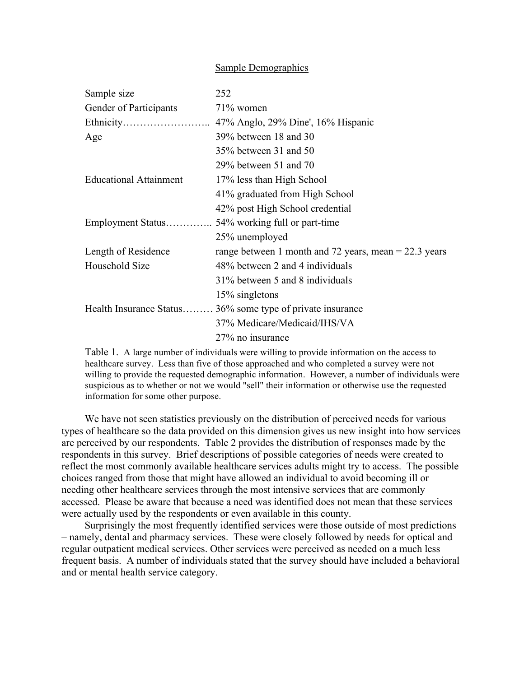## Sample Demographics

| Sample size                   | 252                                                        |
|-------------------------------|------------------------------------------------------------|
| Gender of Participants        | $71\%$ women                                               |
|                               |                                                            |
| Age                           | 39% between 18 and 30                                      |
|                               | 35% between 31 and 50                                      |
|                               | $29\%$ between 51 and 70                                   |
| <b>Educational Attainment</b> | 17% less than High School                                  |
|                               | 41% graduated from High School                             |
|                               | 42% post High School credential                            |
|                               |                                                            |
|                               | 25% unemployed                                             |
| Length of Residence           | range between 1 month and 72 years, mean = $22.3$ years    |
| Household Size                | 48% between 2 and 4 individuals                            |
|                               | 31% between 5 and 8 individuals                            |
|                               | 15% singletons                                             |
|                               | Health Insurance Status 36% some type of private insurance |
|                               | 37% Medicare/Medicaid/IHS/VA                               |
|                               | 27% no insurance                                           |

Table 1. A large number of individuals were willing to provide information on the access to healthcare survey. Less than five of those approached and who completed a survey were not willing to provide the requested demographic information. However, a number of individuals were suspicious as to whether or not we would "sell" their information or otherwise use the requested information for some other purpose.

We have not seen statistics previously on the distribution of perceived needs for various types of healthcare so the data provided on this dimension gives us new insight into how services are perceived by our respondents. Table 2 provides the distribution of responses made by the respondents in this survey. Brief descriptions of possible categories of needs were created to reflect the most commonly available healthcare services adults might try to access. The possible choices ranged from those that might have allowed an individual to avoid becoming ill or needing other healthcare services through the most intensive services that are commonly accessed. Please be aware that because a need was identified does not mean that these services were actually used by the respondents or even available in this county.

Surprisingly the most frequently identified services were those outside of most predictions – namely, dental and pharmacy services. These were closely followed by needs for optical and regular outpatient medical services. Other services were perceived as needed on a much less frequent basis. A number of individuals stated that the survey should have included a behavioral and or mental health service category.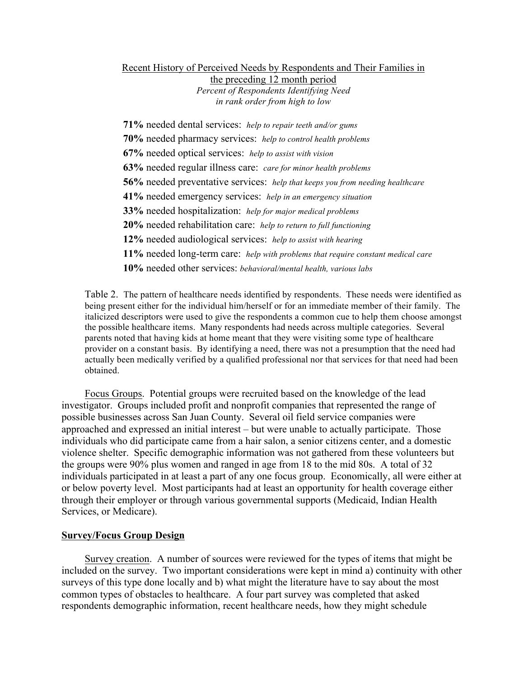## Recent History of Perceived Needs by Respondents and Their Families in the preceding 12 month period *Percent of Respondents Identifying Need in rank order from high to low*

**71%** needed dental services: *help to repair teeth and/or gums* **70%** needed pharmacy services: *help to control health problems* **67%** needed optical services: *help to assist with vision* **63%** needed regular illness care: *care for minor health problems* **56%** needed preventative services: *help that keeps you from needing healthcare* **41%** needed emergency services: *help in an emergency situation* **33%** needed hospitalization: *help for major medical problems* **20%** needed rehabilitation care: *help to return to full functioning* **12%** needed audiological services: *help to assist with hearing* **11%** needed long-term care: *help with problems that require constant medical care* **10%** needed other services: *behavioral/mental health, various labs*

Table 2. The pattern of healthcare needs identified by respondents. These needs were identified as being present either for the individual him/herself or for an immediate member of their family. The italicized descriptors were used to give the respondents a common cue to help them choose amongst the possible healthcare items. Many respondents had needs across multiple categories. Several parents noted that having kids at home meant that they were visiting some type of healthcare provider on a constant basis. By identifying a need, there was not a presumption that the need had actually been medically verified by a qualified professional nor that services for that need had been obtained.

Focus Groups. Potential groups were recruited based on the knowledge of the lead investigator. Groups included profit and nonprofit companies that represented the range of possible businesses across San Juan County. Several oil field service companies were approached and expressed an initial interest – but were unable to actually participate. Those individuals who did participate came from a hair salon, a senior citizens center, and a domestic violence shelter. Specific demographic information was not gathered from these volunteers but the groups were 90% plus women and ranged in age from 18 to the mid 80s. A total of 32 individuals participated in at least a part of any one focus group. Economically, all were either at or below poverty level. Most participants had at least an opportunity for health coverage either through their employer or through various governmental supports (Medicaid, Indian Health Services, or Medicare).

# **Survey/Focus Group Design**

Survey creation. A number of sources were reviewed for the types of items that might be included on the survey. Two important considerations were kept in mind a) continuity with other surveys of this type done locally and b) what might the literature have to say about the most common types of obstacles to healthcare. A four part survey was completed that asked respondents demographic information, recent healthcare needs, how they might schedule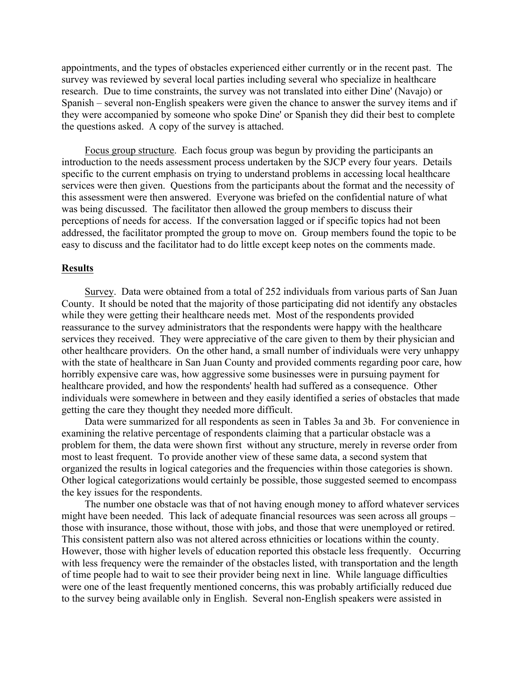appointments, and the types of obstacles experienced either currently or in the recent past. The survey was reviewed by several local parties including several who specialize in healthcare research. Due to time constraints, the survey was not translated into either Dine' (Navajo) or Spanish – several non-English speakers were given the chance to answer the survey items and if they were accompanied by someone who spoke Dine' or Spanish they did their best to complete the questions asked. A copy of the survey is attached.

Focus group structure. Each focus group was begun by providing the participants an introduction to the needs assessment process undertaken by the SJCP every four years. Details specific to the current emphasis on trying to understand problems in accessing local healthcare services were then given. Questions from the participants about the format and the necessity of this assessment were then answered. Everyone was briefed on the confidential nature of what was being discussed. The facilitator then allowed the group members to discuss their perceptions of needs for access. If the conversation lagged or if specific topics had not been addressed, the facilitator prompted the group to move on. Group members found the topic to be easy to discuss and the facilitator had to do little except keep notes on the comments made.

## **Results**

Survey. Data were obtained from a total of 252 individuals from various parts of San Juan County. It should be noted that the majority of those participating did not identify any obstacles while they were getting their healthcare needs met. Most of the respondents provided reassurance to the survey administrators that the respondents were happy with the healthcare services they received. They were appreciative of the care given to them by their physician and other healthcare providers. On the other hand, a small number of individuals were very unhappy with the state of healthcare in San Juan County and provided comments regarding poor care, how horribly expensive care was, how aggressive some businesses were in pursuing payment for healthcare provided, and how the respondents' health had suffered as a consequence. Other individuals were somewhere in between and they easily identified a series of obstacles that made getting the care they thought they needed more difficult.

Data were summarized for all respondents as seen in Tables 3a and 3b. For convenience in examining the relative percentage of respondents claiming that a particular obstacle was a problem for them, the data were shown first without any structure, merely in reverse order from most to least frequent. To provide another view of these same data, a second system that organized the results in logical categories and the frequencies within those categories is shown. Other logical categorizations would certainly be possible, those suggested seemed to encompass the key issues for the respondents.

The number one obstacle was that of not having enough money to afford whatever services might have been needed. This lack of adequate financial resources was seen across all groups – those with insurance, those without, those with jobs, and those that were unemployed or retired. This consistent pattern also was not altered across ethnicities or locations within the county. However, those with higher levels of education reported this obstacle less frequently. Occurring with less frequency were the remainder of the obstacles listed, with transportation and the length of time people had to wait to see their provider being next in line. While language difficulties were one of the least frequently mentioned concerns, this was probably artificially reduced due to the survey being available only in English. Several non-English speakers were assisted in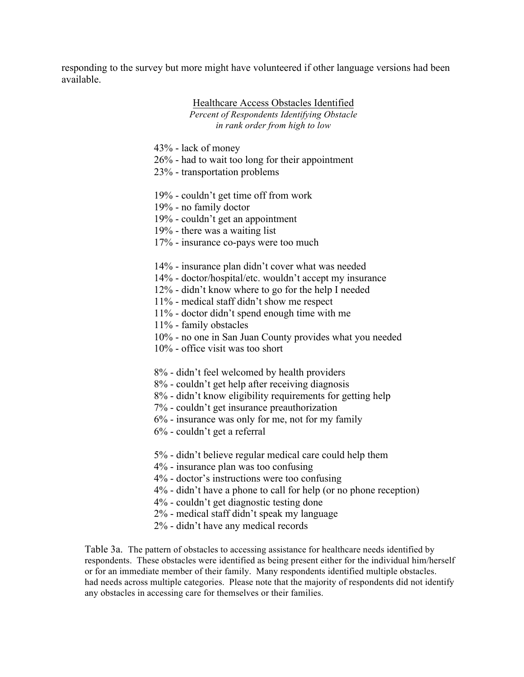responding to the survey but more might have volunteered if other language versions had been available.

## Healthcare Access Obstacles Identified *Percent of Respondents Identifying Obstacle in rank order from high to low*

- 43% lack of money
- 26% had to wait too long for their appointment
- 23% transportation problems
- 19% couldn't get time off from work
- 19% no family doctor
- 19% couldn't get an appointment
- 19% there was a waiting list
- 17% insurance co-pays were too much
- 14% insurance plan didn't cover what was needed
- 14% doctor/hospital/etc. wouldn't accept my insurance
- 12% didn't know where to go for the help I needed
- 11% medical staff didn't show me respect
- 11% doctor didn't spend enough time with me
- 11% family obstacles
- 10% no one in San Juan County provides what you needed
- 10% office visit was too short
- 8% didn't feel welcomed by health providers
- 8% couldn't get help after receiving diagnosis
- 8% didn't know eligibility requirements for getting help
- 7% couldn't get insurance preauthorization
- 6% insurance was only for me, not for my family
- 6% couldn't get a referral
- 5% didn't believe regular medical care could help them
- 4% insurance plan was too confusing
- 4% doctor's instructions were too confusing
- 4% didn't have a phone to call for help (or no phone reception)
- 4% couldn't get diagnostic testing done
- 2% medical staff didn't speak my language
- 2% didn't have any medical records

Table 3a. The pattern of obstacles to accessing assistance for healthcare needs identified by respondents. These obstacles were identified as being present either for the individual him/herself or for an immediate member of their family. Many respondents identified multiple obstacles. had needs across multiple categories. Please note that the majority of respondents did not identify any obstacles in accessing care for themselves or their families.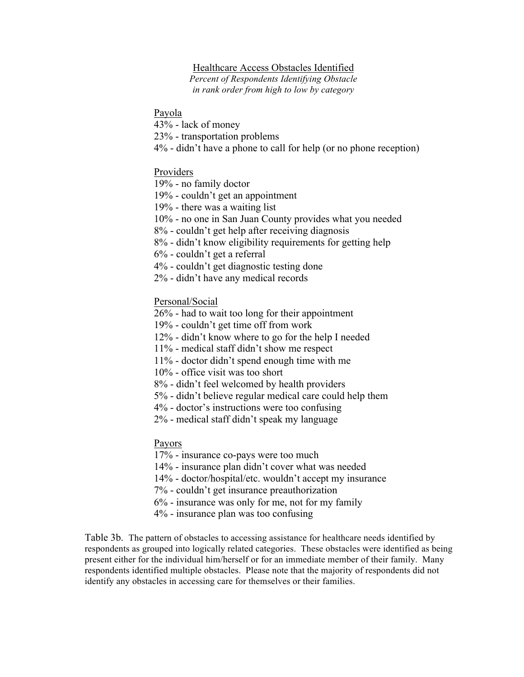# Healthcare Access Obstacles Identified

*Percent of Respondents Identifying Obstacle in rank order from high to low by category*

Payola

43% - lack of money

23% - transportation problems

4% - didn't have a phone to call for help (or no phone reception)

## Providers

19% - no family doctor

19% - couldn't get an appointment

19% - there was a waiting list

10% - no one in San Juan County provides what you needed

8% - couldn't get help after receiving diagnosis

8% - didn't know eligibility requirements for getting help

6% - couldn't get a referral

4% - couldn't get diagnostic testing done

2% - didn't have any medical records

Personal/Social

26% - had to wait too long for their appointment

19% - couldn't get time off from work

12% - didn't know where to go for the help I needed

11% - medical staff didn't show me respect

11% - doctor didn't spend enough time with me

10% - office visit was too short

8% - didn't feel welcomed by health providers

5% - didn't believe regular medical care could help them

4% - doctor's instructions were too confusing

2% - medical staff didn't speak my language

Payors

17% - insurance co-pays were too much

14% - insurance plan didn't cover what was needed

14% - doctor/hospital/etc. wouldn't accept my insurance

7% - couldn't get insurance preauthorization

6% - insurance was only for me, not for my family

4% - insurance plan was too confusing

Table 3b. The pattern of obstacles to accessing assistance for healthcare needs identified by respondents as grouped into logically related categories. These obstacles were identified as being present either for the individual him/herself or for an immediate member of their family. Many respondents identified multiple obstacles. Please note that the majority of respondents did not identify any obstacles in accessing care for themselves or their families.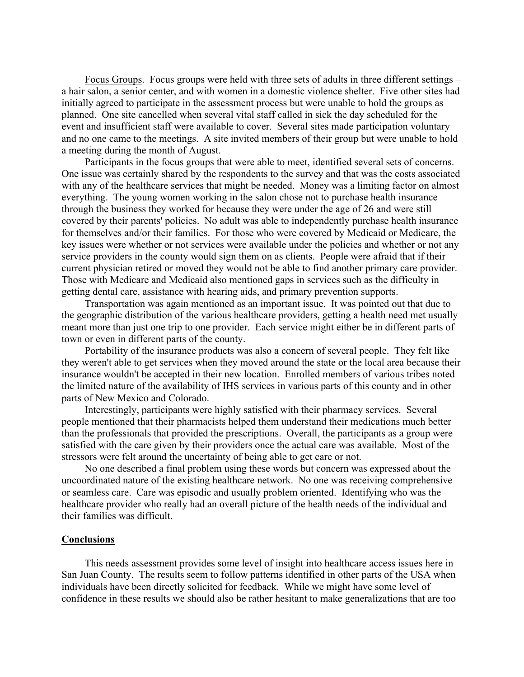Focus Groups. Focus groups were held with three sets of adults in three different settings – a hair salon, a senior center, and with women in a domestic violence shelter. Five other sites had initially agreed to participate in the assessment process but were unable to hold the groups as planned. One site cancelled when several vital staff called in sick the day scheduled for the event and insufficient staff were available to cover. Several sites made participation voluntary and no one came to the meetings. A site invited members of their group but were unable to hold a meeting during the month of August.

Participants in the focus groups that were able to meet, identified several sets of concerns. One issue was certainly shared by the respondents to the survey and that was the costs associated with any of the healthcare services that might be needed. Money was a limiting factor on almost everything. The young women working in the salon chose not to purchase health insurance through the business they worked for because they were under the age of 26 and were still covered by their parents' policies. No adult was able to independently purchase health insurance for themselves and/or their families. For those who were covered by Medicaid or Medicare, the key issues were whether or not services were available under the policies and whether or not any service providers in the county would sign them on as clients. People were afraid that if their current physician retired or moved they would not be able to find another primary care provider. Those with Medicare and Medicaid also mentioned gaps in services such as the difficulty in getting dental care, assistance with hearing aids, and primary prevention supports.

Transportation was again mentioned as an important issue. It was pointed out that due to the geographic distribution of the various healthcare providers, getting a health need met usually meant more than just one trip to one provider. Each service might either be in different parts of town or even in different parts of the county.

Portability of the insurance products was also a concern of several people. They felt like they weren't able to get services when they moved around the state or the local area because their insurance wouldn't be accepted in their new location. Enrolled members of various tribes noted the limited nature of the availability of IHS services in various parts of this county and in other parts of New Mexico and Colorado.

Interestingly, participants were highly satisfied with their pharmacy services. Several people mentioned that their pharmacists helped them understand their medications much better than the professionals that provided the prescriptions. Overall, the participants as a group were satisfied with the care given by their providers once the actual care was available. Most of the stressors were felt around the uncertainty of being able to get care or not.

No one described a final problem using these words but concern was expressed about the uncoordinated nature of the existing healthcare network. No one was receiving comprehensive or seamless care. Care was episodic and usually problem oriented. Identifying who was the healthcare provider who really had an overall picture of the health needs of the individual and their families was difficult.

#### **Conclusions**

This needs assessment provides some level of insight into healthcare access issues here in San Juan County. The results seem to follow patterns identified in other parts of the USA when individuals have been directly solicited for feedback. While we might have some level of confidence in these results we should also be rather hesitant to make generalizations that are too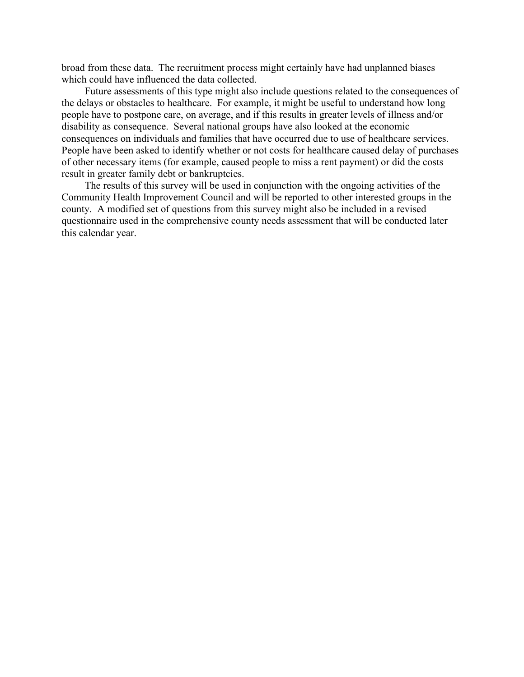broad from these data. The recruitment process might certainly have had unplanned biases which could have influenced the data collected.

Future assessments of this type might also include questions related to the consequences of the delays or obstacles to healthcare. For example, it might be useful to understand how long people have to postpone care, on average, and if this results in greater levels of illness and/or disability as consequence. Several national groups have also looked at the economic consequences on individuals and families that have occurred due to use of healthcare services. People have been asked to identify whether or not costs for healthcare caused delay of purchases of other necessary items (for example, caused people to miss a rent payment) or did the costs result in greater family debt or bankruptcies.

The results of this survey will be used in conjunction with the ongoing activities of the Community Health Improvement Council and will be reported to other interested groups in the county. A modified set of questions from this survey might also be included in a revised questionnaire used in the comprehensive county needs assessment that will be conducted later this calendar year.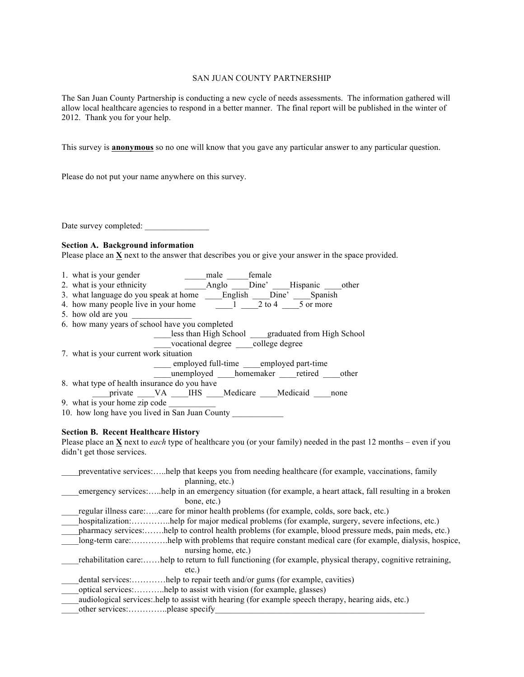#### SAN JUAN COUNTY PARTNERSHIP

The San Juan County Partnership is conducting a new cycle of needs assessments. The information gathered will allow local healthcare agencies to respond in a better manner. The final report will be published in the winter of 2012. Thank you for your help.

This survey is **anonymous** so no one will know that you gave any particular answer to any particular question.

Please do not put your name anywhere on this survey.

Date survey completed:

#### **Section A. Background information**

Please place an **X** next to the answer that describes you or give your answer in the space provided.

- 1. what is your gender male female
- 2. what is your ethnicity \_\_\_\_\_Anglo \_\_\_\_Dine' \_\_\_\_Hispanic \_\_\_\_other
- 3. what language do you speak at home \_\_\_\_\_English \_\_\_\_Dine' \_\_\_\_\_Spanish
- 4. how many people live in your home  $\qquad \qquad -1 \qquad 2$  to 4  $\qquad 5$  or more
- 5. how old are you
- 6. how many years of school have you completed

\_\_\_\_less than High School \_\_\_\_graduated from High School

- vocational degree college degree
- 7. what is your current work situation

\_\_\_\_ employed full-time \_\_\_\_employed part-time

\_\_\_\_unemployed \_\_\_\_homemaker \_\_\_\_retired \_\_\_\_other

8. what type of health insurance do you have

\_\_\_\_private \_\_\_\_VA \_\_\_\_IHS \_\_\_\_Medicare \_\_\_\_Medicaid \_\_\_\_none

9. what is your home zip code

10. how long have you lived in San Juan County \_\_\_\_\_\_\_\_\_\_\_\_\_\_\_\_\_\_\_\_\_\_\_\_\_\_\_\_\_\_\_\_\_

### **Section B. Recent Healthcare History**

Please place an **X** next to *each* type of healthcare you (or your family) needed in the past 12 months – even if you didn't get those services.

| preventative services:help that keeps you from needing healthcare (for example, vaccinations, family             |
|------------------------------------------------------------------------------------------------------------------|
| planning, etc.)                                                                                                  |
| emergency serviceshelp in an emergency situation (for example, a heart attack, fall resulting in a broken        |
| bone, etc.)                                                                                                      |
| regular illness care:care for minor health problems (for example, colds, sore back, etc.)                        |
| hospitalization:help for major medical problems (for example, surgery, severe infections, etc.)                  |
| pharmacy services:help to control health problems (for example, blood pressure meds, pain meds, etc.)            |
| help with problems that require constant medical care (for example, dialysis, hospice,                           |
| nursing home, etc.)                                                                                              |
| help to return to full functioning (for example, physical therapy, cognitive retraining,<br>rehabilitation care: |
| $etc.$ )                                                                                                         |
| dental services:help to repair teeth and/or gums (for example, cavities)                                         |
| optical services:help to assist with vision (for example, glasses)                                               |
| audiological services: help to assist with hearing (for example speech therapy, hearing aids, etc.)              |
|                                                                                                                  |
|                                                                                                                  |